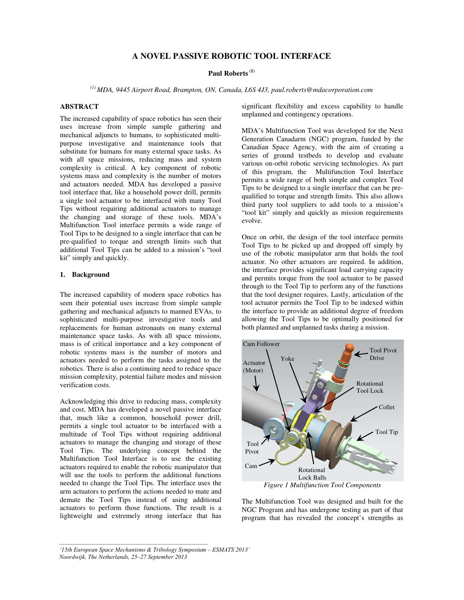# **A NOVEL PASSIVE ROBOTIC TOOL INTERFACE**

#### **Paul Roberts (1)**

*(1) MDA, 9445 Airport Road, Brampton, ON, Canada, L6S 4J3, paul.roberts@mdacorporation.com* 

## **ABSTRACT**

The increased capability of space robotics has seen their uses increase from simple sample gathering and mechanical adjuncts to humans, to sophisticated multipurpose investigative and maintenance tools that substitute for humans for many external space tasks. As with all space missions, reducing mass and system complexity is critical. A key component of robotic systems mass and complexity is the number of motors and actuators needed. MDA has developed a passive tool interface that, like a household power drill, permits a single tool actuator to be interfaced with many Tool Tips without requiring additional actuators to manage the changing and storage of these tools. MDA's Multifunction Tool interface permits a wide range of Tool Tips to be designed to a single interface that can be pre-qualified to torque and strength limits such that additional Tool Tips can be added to a mission's "tool kit" simply and quickly.

# **1. Background**

The increased capability of modern space robotics has seen their potential uses increase from simple sample gathering and mechanical adjuncts to manned EVAs, to sophisticated multi-purpose investigative tools and replacements for human astronauts on many external maintenance space tasks. As with all space missions, mass is of critical importance and a key component of robotic systems mass is the number of motors and actuators needed to perform the tasks assigned to the robotics. There is also a continuing need to reduce space mission complexity, potential failure modes and mission verification costs.

Acknowledging this drive to reducing mass, complexity and cost, MDA has developed a novel passive interface that, much like a common, household power drill, permits a single tool actuator to be interfaced with a multitude of Tool Tips without requiring additional actuators to manage the changing and storage of these Tool Tips. The underlying concept behind the Multifunction Tool Interface is to use the existing actuators required to enable the robotic manipulator that will use the tools to perform the additional functions needed to change the Tool Tips. The interface uses the arm actuators to perform the actions needed to mate and demate the Tool Tips instead of using additional actuators to perform those functions. The result is a lightweight and extremely strong interface that has significant flexibility and excess capability to handle unplanned and contingency operations.

MDA's Multifunction Tool was developed for the Next Generation Canadarm (NGC) program, funded by the Canadian Space Agency, with the aim of creating a series of ground testbeds to develop and evaluate various on-orbit robotic servicing technologies. As part of this program, the Multifunction Tool Interface permits a wide range of both simple and complex Tool Tips to be designed to a single interface that can be prequalified to torque and strength limits. This also allows third party tool suppliers to add tools to a mission's "tool kit" simply and quickly as mission requirements evolve.

Once on orbit, the design of the tool interface permits Tool Tips to be picked up and dropped off simply by use of the robotic manipulator arm that holds the tool actuator. No other actuators are required. In addition, the interface provides significant load carrying capacity and permits torque from the tool actuator to be passed through to the Tool Tip to perform any of the functions that the tool designer requires. Lastly, articulation of the tool actuator permits the Tool Tip to be indexed within the interface to provide an additional degree of freedom allowing the Tool Tips to be optimally positioned for both planned and unplanned tasks during a mission.



The Multifunction Tool was designed and built for the NGC Program and has undergone testing as part of that program that has revealed the concept's strengths as

*<sup>&#</sup>x27;15th European Space Mechanisms & Tribology Symposium – ESMATS 2013' Noordwijk, The Netherlands, 25–27 September 2013*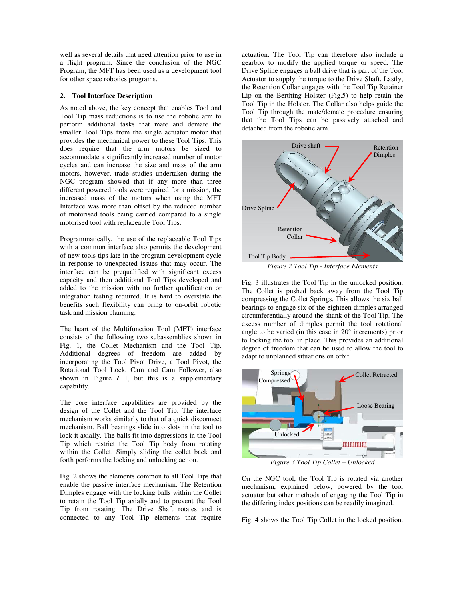well as several details that need attention prior to use in a flight program. Since the conclusion of the NGC Program, the MFT has been used as a development tool for other space robotics programs.

#### **2. Tool Interface Description**

As noted above, the key concept that enables Tool and Tool Tip mass reductions is to use the robotic arm to perform additional tasks that mate and demate the smaller Tool Tips from the single actuator motor that provides the mechanical power to these Tool Tips. This does require that the arm motors be sized to accommodate a significantly increased number of motor cycles and can increase the size and mass of the arm motors, however, trade studies undertaken during the NGC program showed that if any more than three different powered tools were required for a mission, the increased mass of the motors when using the MFT Interface was more than offset by the reduced number of motorised tools being carried compared to a single motorised tool with replaceable Tool Tips.

Programmatically, the use of the replaceable Tool Tips with a common interface also permits the development of new tools tips late in the program development cycle in response to unexpected issues that may occur. The interface can be prequalified with significant excess capacity and then additional Tool Tips developed and added to the mission with no further qualification or integration testing required. It is hard to overstate the benefits such flexibility can bring to on-orbit robotic task and mission planning.

The heart of the Multifunction Tool (MFT) interface consists of the following two subassemblies shown in Fig. 1, the Collet Mechanism and the Tool Tip. Additional degrees of freedom are added by incorporating the Tool Pivot Drive, a Tool Pivot, the Rotational Tool Lock, Cam and Cam Follower, also shown in Figure  $I$  1, but this is a supplementary capability.

The core interface capabilities are provided by the design of the Collet and the Tool Tip. The interface mechanism works similarly to that of a quick disconnect mechanism. Ball bearings slide into slots in the tool to lock it axially. The balls fit into depressions in the Tool Tip which restrict the Tool Tip body from rotating within the Collet. Simply sliding the collet back and forth performs the locking and unlocking action.

Fig. 2 shows the elements common to all Tool Tips that enable the passive interface mechanism. The Retention Dimples engage with the locking balls within the Collet to retain the Tool Tip axially and to prevent the Tool Tip from rotating. The Drive Shaft rotates and is connected to any Tool Tip elements that require

actuation. The Tool Tip can therefore also include a gearbox to modify the applied torque or speed. The Drive Spline engages a ball drive that is part of the Tool Actuator to supply the torque to the Drive Shaft. Lastly, the Retention Collar engages with the Tool Tip Retainer Lip on the Berthing Holster (Fig.5) to help retain the Tool Tip in the Holster. The Collar also helps guide the Tool Tip through the mate/demate procedure ensuring that the Tool Tips can be passively attached and detached from the robotic arm.



*Figure 2 Tool Tip - Interface Elements* 

Fig. 3 illustrates the Tool Tip in the unlocked position. The Collet is pushed back away from the Tool Tip compressing the Collet Springs. This allows the six ball bearings to engage six of the eighteen dimples arranged circumferentially around the shank of the Tool Tip. The excess number of dimples permit the tool rotational angle to be varied (in this case in 20° increments) prior to locking the tool in place. This provides an additional degree of freedom that can be used to allow the tool to adapt to unplanned situations on orbit.



On the NGC tool, the Tool Tip is rotated via another mechanism, explained below, powered by the tool actuator but other methods of engaging the Tool Tip in the differing index positions can be readily imagined.

Fig. 4 shows the Tool Tip Collet in the locked position.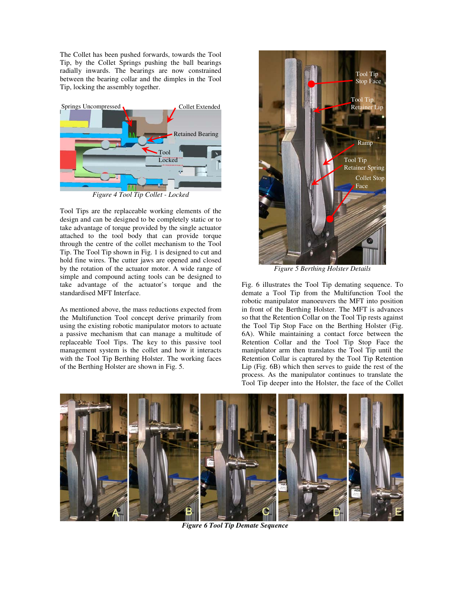The Collet has been pushed forwards, towards the Tool Tip, by the Collet Springs pushing the ball bearings radially inwards. The bearings are now constrained between the bearing collar and the dimples in the Tool Tip, locking the assembly together.



*Figure 4 Tool Tip Collet - Locked* 

Tool Tips are the replaceable working elements of the design and can be designed to be completely static or to take advantage of torque provided by the single actuator attached to the tool body that can provide torque through the centre of the collet mechanism to the Tool Tip. The Tool Tip shown in Fig. 1 is designed to cut and hold fine wires. The cutter jaws are opened and closed by the rotation of the actuator motor. A wide range of simple and compound acting tools can be designed to take advantage of the actuator's torque and the standardised MFT Interface.

As mentioned above, the mass reductions expected from the Multifunction Tool concept derive primarily from using the existing robotic manipulator motors to actuate a passive mechanism that can manage a multitude of replaceable Tool Tips. The key to this passive tool management system is the collet and how it interacts with the Tool Tip Berthing Holster. The working faces of the Berthing Holster are shown in Fig. 5.



*Figure 5 Berthing Holster Details* 

Fig. 6 illustrates the Tool Tip demating sequence. To demate a Tool Tip from the Multifunction Tool the robotic manipulator manoeuvers the MFT into position in front of the Berthing Holster. The MFT is advances so that the Retention Collar on the Tool Tip rests against the Tool Tip Stop Face on the Berthing Holster (Fig. 6A). While maintaining a contact force between the Retention Collar and the Tool Tip Stop Face the manipulator arm then translates the Tool Tip until the Retention Collar is captured by the Tool Tip Retention Lip (Fig. 6B) which then serves to guide the rest of the process. As the manipulator continues to translate the Tool Tip deeper into the Holster, the face of the Collet



*Figure 6 Tool Tip Demate Sequence*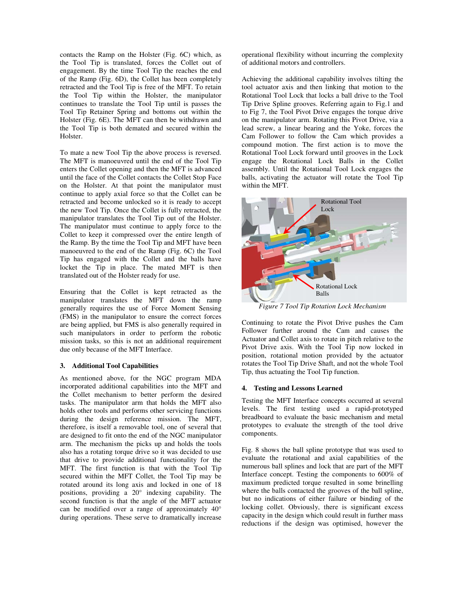contacts the Ramp on the Holster (Fig. 6C) which, as the Tool Tip is translated, forces the Collet out of engagement. By the time Tool Tip the reaches the end of the Ramp (Fig. 6D), the Collet has been completely retracted and the Tool Tip is free of the MFT. To retain the Tool Tip within the Holster, the manipulator continues to translate the Tool Tip until is passes the Tool Tip Retainer Spring and bottoms out within the Holster (Fig. 6E). The MFT can then be withdrawn and the Tool Tip is both demated and secured within the Holster.

To mate a new Tool Tip the above process is reversed. The MFT is manoeuvred until the end of the Tool Tip enters the Collet opening and then the MFT is advanced until the face of the Collet contacts the Collet Stop Face on the Holster. At that point the manipulator must continue to apply axial force so that the Collet can be retracted and become unlocked so it is ready to accept the new Tool Tip. Once the Collet is fully retracted, the manipulator translates the Tool Tip out of the Holster. The manipulator must continue to apply force to the Collet to keep it compressed over the entire length of the Ramp. By the time the Tool Tip and MFT have been manoeuvred to the end of the Ramp (Fig. 6C) the Tool Tip has engaged with the Collet and the balls have locket the Tip in place. The mated MFT is then translated out of the Holster ready for use.

Ensuring that the Collet is kept retracted as the manipulator translates the MFT down the ramp generally requires the use of Force Moment Sensing (FMS) in the manipulator to ensure the correct forces are being applied, but FMS is also generally required in such manipulators in order to perform the robotic mission tasks, so this is not an additional requirement due only because of the MFT Interface.

#### **3. Additional Tool Capabilities**

As mentioned above, for the NGC program MDA incorporated additional capabilities into the MFT and the Collet mechanism to better perform the desired tasks. The manipulator arm that holds the MFT also holds other tools and performs other servicing functions during the design reference mission. The MFT, therefore, is itself a removable tool, one of several that are designed to fit onto the end of the NGC manipulator arm. The mechanism the picks up and holds the tools also has a rotating torque drive so it was decided to use that drive to provide additional functionality for the MFT. The first function is that with the Tool Tip secured within the MFT Collet, the Tool Tip may be rotated around its long axis and locked in one of 18 positions, providing a 20° indexing capability. The second function is that the angle of the MFT actuator can be modified over a range of approximately 40° during operations. These serve to dramatically increase operational flexibility without incurring the complexity of additional motors and controllers.

Achieving the additional capability involves tilting the tool actuator axis and then linking that motion to the Rotational Tool Lock that locks a ball drive to the Tool Tip Drive Spline grooves. Referring again to Fig.1 and to Fig 7, the Tool Pivot Drive engages the torque drive on the manipulator arm. Rotating this Pivot Drive, via a lead screw, a linear bearing and the Yoke, forces the Cam Follower to follow the Cam which provides a compound motion. The first action is to move the Rotational Tool Lock forward until grooves in the Lock engage the Rotational Lock Balls in the Collet assembly. Until the Rotational Tool Lock engages the balls, activating the actuator will rotate the Tool Tip within the MFT.



*Figure 7 Tool Tip Rotation Lock Mechanism* 

Continuing to rotate the Pivot Drive pushes the Cam Follower further around the Cam and causes the Actuator and Collet axis to rotate in pitch relative to the Pivot Drive axis. With the Tool Tip now locked in position, rotational motion provided by the actuator rotates the Tool Tip Drive Shaft, and not the whole Tool Tip, thus actuating the Tool Tip function.

### **4. Testing and Lessons Learned**

Testing the MFT Interface concepts occurred at several levels. The first testing used a rapid-prototyped breadboard to evaluate the basic mechanism and metal prototypes to evaluate the strength of the tool drive components.

Fig. 8 shows the ball spline prototype that was used to evaluate the rotational and axial capabilities of the numerous ball splines and lock that are part of the MFT Interface concept. Testing the components to 600% of maximum predicted torque resulted in some brinelling where the balls contacted the grooves of the ball spline, but no indications of either failure or binding of the locking collet. Obviously, there is significant excess capacity in the design which could result in further mass reductions if the design was optimised, however the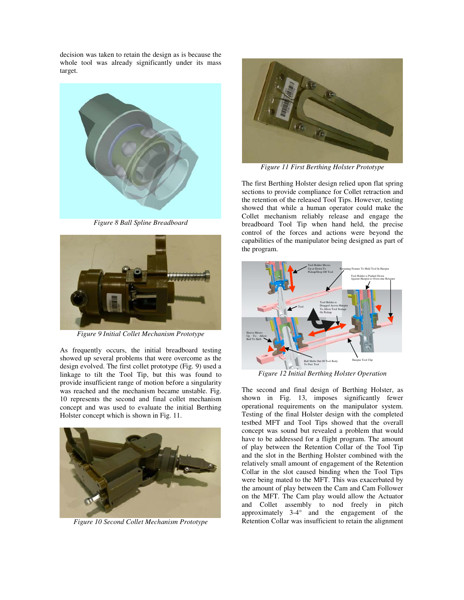decision was taken to retain the design as is because the whole tool was already significantly under its mass target.



*Figure 8 Ball Spline Breadboard* 



*Figure 9 Initial Collet Mechanism Prototype* 

As frequently occurs, the initial breadboard testing showed up several problems that were overcome as the design evolved. The first collet prototype (Fig. 9) used a linkage to tilt the Tool Tip, but this was found to provide insufficient range of motion before a singularity was reached and the mechanism became unstable. Fig. 10 represents the second and final collet mechanism concept and was used to evaluate the initial Berthing Holster concept which is shown in Fig. 11.



*Figure 10 Second Collet Mechanism Prototype* 



*Figure 11 First Berthing Holster Prototype*

The first Berthing Holster design relied upon flat spring sections to provide compliance for Collet retraction and the retention of the released Tool Tips. However, testing showed that while a human operator could make the Collet mechanism reliably release and engage the breadboard Tool Tip when hand held, the precise control of the forces and actions were beyond the capabilities of the manipulator being designed as part of the program.



*Figure 12 Initial Berthing Holster Operation* 

The second and final design of Berthing Holster, as shown in Fig. 13, imposes significantly fewer operational requirements on the manipulator system. Testing of the final Holster design with the completed testbed MFT and Tool Tips showed that the overall concept was sound but revealed a problem that would have to be addressed for a flight program. The amount of play between the Retention Collar of the Tool Tip and the slot in the Berthing Holster combined with the relatively small amount of engagement of the Retention Collar in the slot caused binding when the Tool Tips were being mated to the MFT. This was exacerbated by the amount of play between the Cam and Cam Follower on the MFT. The Cam play would allow the Actuator and Collet assembly to nod freely in pitch approximately 3-4° and the engagement of the Retention Collar was insufficient to retain the alignment